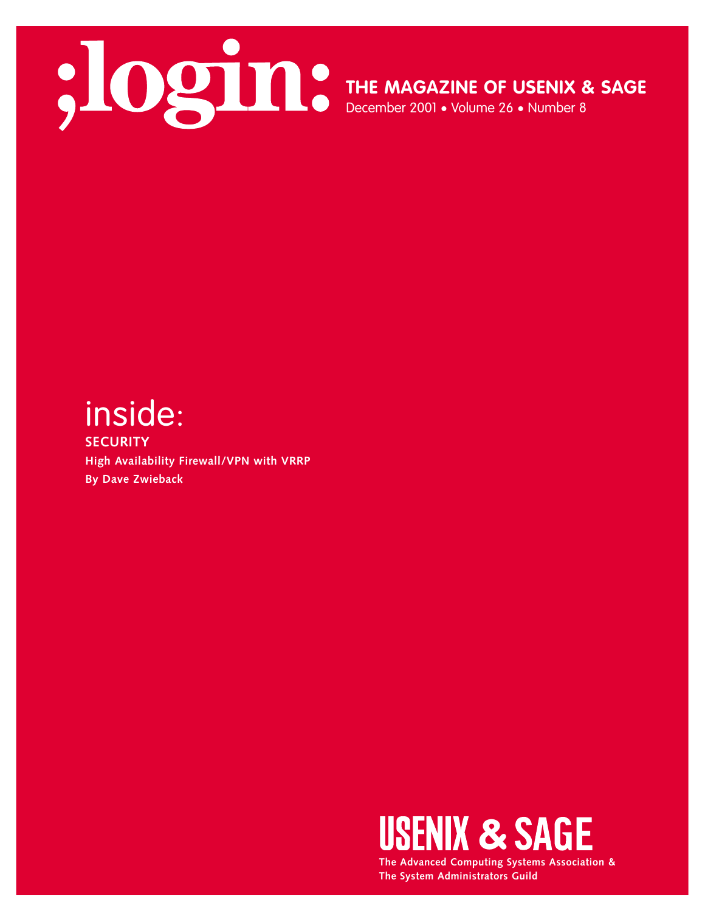

**THE MAGAZINE OF USENIX & SAGE**

December 2001 • Volume 26 • Number 8

# inside:

**SECURITY High Availability Firewall/VPN with VRRP By Dave Zwieback** 



**The Advanced Computing Systems Association & The System Administrators Guild**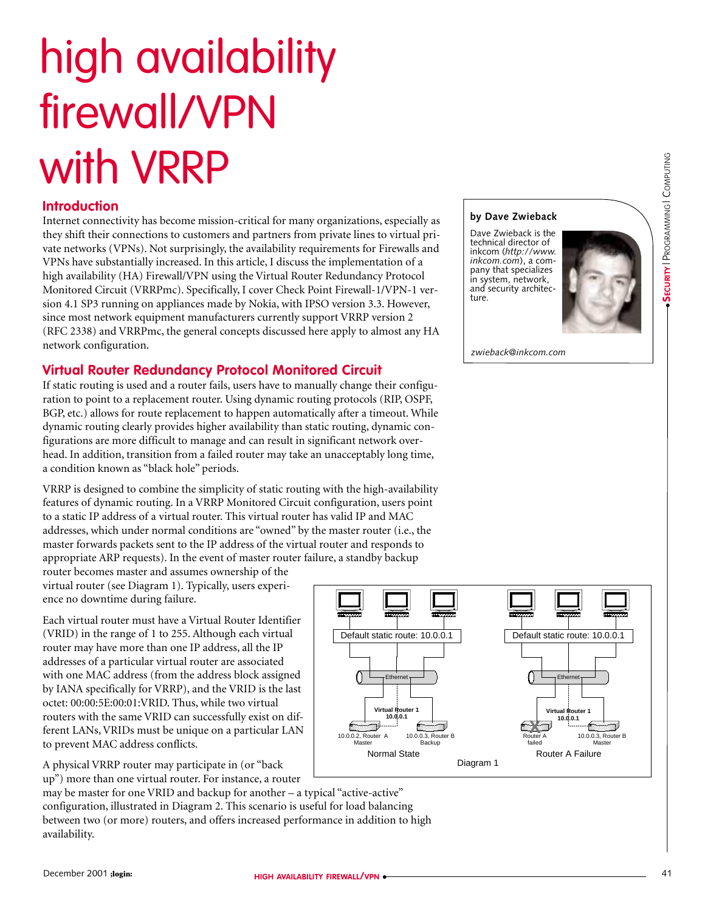# high availability firewall/VPN with VRRP

# **Introduction**

Internet connectivity has become mission-critical for many organizations, especially as they shift their connections to customers and partners from private lines to virtual private networks (VPNs). Not surprisingly, the availability requirements for Firewalls and VPNs have substantially increased. In this article, I discuss the implementation of a high availability (HA) Firewall/VPN using the Virtual Router Redundancy Protocol Monitored Circuit (VRRPmc). Specifically, I cover Check Point Firewall-1/VPN-1 version 4.1 SP3 running on appliances made by Nokia, with IPSO version 3.3. However, since most network equipment manufacturers currently support VRRP version 2 (RFC 2338) and VRRPmc, the general concepts discussed here apply to almost any HA network configuration.

# **Virtual Router Redundancy Protocol Monitored Circuit**

If static routing is used and a router fails, users have to manually change their configuration to point to a replacement router. Using dynamic routing protocols (RIP, OSPF, BGP, etc.) allows for route replacement to happen automatically after a timeout. While dynamic routing clearly provides higher availability than static routing, dynamic configurations are more difficult to manage and can result in significant network overhead. In addition, transition from a failed router may take an unacceptably long time, a condition known as "black hole" periods.

VRRP is designed to combine the simplicity of static routing with the high-availability features of dynamic routing. In a VRRP Monitored Circuit configuration, users point to a static IP address of a virtual router. This virtual router has valid IP and MAC addresses, which under normal conditions are "owned" by the master router (i.e., the master forwards packets sent to the IP address of the virtual router and responds to appropriate ARP requests). In the event of master router failure, a standby backup

router becomes master and assumes ownership of the virtual router (see Diagram 1). Typically, users experience no downtime during failure.

Each virtual router must have a Virtual Router Identifier (VRID) in the range of 1 to 255. Although each virtual router may have more than one IP address, all the IP addresses of a particular virtual router are associated with one MAC address (from the address block assigned by IANA specifically for VRRP), and the VRID is the last octet: 00:00:5E:00:01:VRID. Thus, while two virtual routers with the same VRID can successfully exist on different LANs, VRIDs must be unique on a particular LAN to prevent MAC address conflicts.

A physical VRRP router may participate in (or "back up") more than one virtual router. For instance, a router

may be master for one VRID and backup for another – a typical "active-active" configuration, illustrated in Diagram 2. This scenario is useful for load balancing between two (or more) routers, and offers increased performance in addition to high availability.

#### **by Dave Zwieback**

Dave Zwieback is the technical director of inkcom (*http://www. inkcom.com*), a company that specializes in system, network, and security architecture.



*zwieback@inkcom.com*

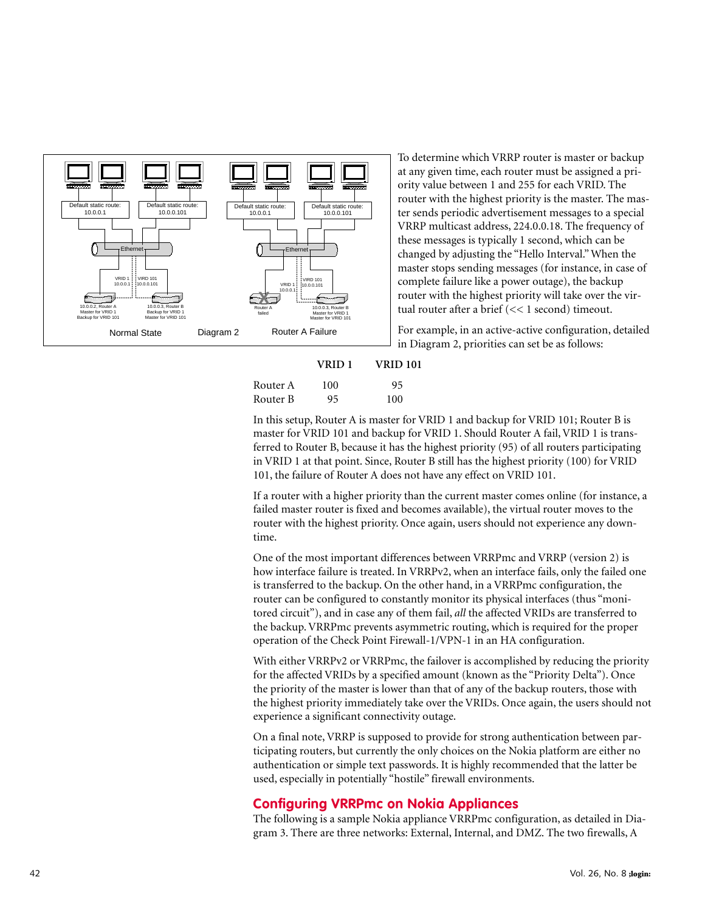

To determine which VRRP router is master or backup at any given time, each router must be assigned a priority value between 1 and 255 for each VRID. The router with the highest priority is the master. The master sends periodic advertisement messages to a special VRRP multicast address, 224.0.0.18. The frequency of these messages is typically 1 second, which can be changed by adjusting the "Hello Interval." When the master stops sending messages (for instance, in case of complete failure like a power outage), the backup router with the highest priority will take over the virtual router after a brief (<< 1 second) timeout.

For example, in an active-active configuration, detailed in Diagram 2, priorities can set be as follows:

|          | VRID 1 | <b>VRID 101</b> |  |
|----------|--------|-----------------|--|
| Router A | 100    | 95              |  |
| Router B | 95     | 100             |  |

In this setup, Router A is master for VRID 1 and backup for VRID 101; Router B is master for VRID 101 and backup for VRID 1. Should Router A fail, VRID 1 is transferred to Router B, because it has the highest priority (95) of all routers participating in VRID 1 at that point. Since, Router B still has the highest priority (100) for VRID 101, the failure of Router A does not have any effect on VRID 101.

If a router with a higher priority than the current master comes online (for instance, a failed master router is fixed and becomes available), the virtual router moves to the router with the highest priority. Once again, users should not experience any downtime.

One of the most important differences between VRRPmc and VRRP (version 2) is how interface failure is treated. In VRRPv2, when an interface fails, only the failed one is transferred to the backup. On the other hand, in a VRRPmc configuration, the router can be configured to constantly monitor its physical interfaces (thus "monitored circuit"), and in case any of them fail, *all* the affected VRIDs are transferred to the backup. VRRPmc prevents asymmetric routing, which is required for the proper operation of the Check Point Firewall-1/VPN-1 in an HA configuration.

With either VRRPv2 or VRRPmc, the failover is accomplished by reducing the priority for the affected VRIDs by a specified amount (known as the "Priority Delta"). Once the priority of the master is lower than that of any of the backup routers, those with the highest priority immediately take over the VRIDs. Once again, the users should not experience a significant connectivity outage.

On a final note, VRRP is supposed to provide for strong authentication between participating routers, but currently the only choices on the Nokia platform are either no authentication or simple text passwords. It is highly recommended that the latter be used, especially in potentially "hostile" firewall environments.

# **Configuring VRRPmc on Nokia Appliances**

The following is a sample Nokia appliance VRRPmc configuration, as detailed in Diagram 3. There are three networks: External, Internal, and DMZ. The two firewalls, A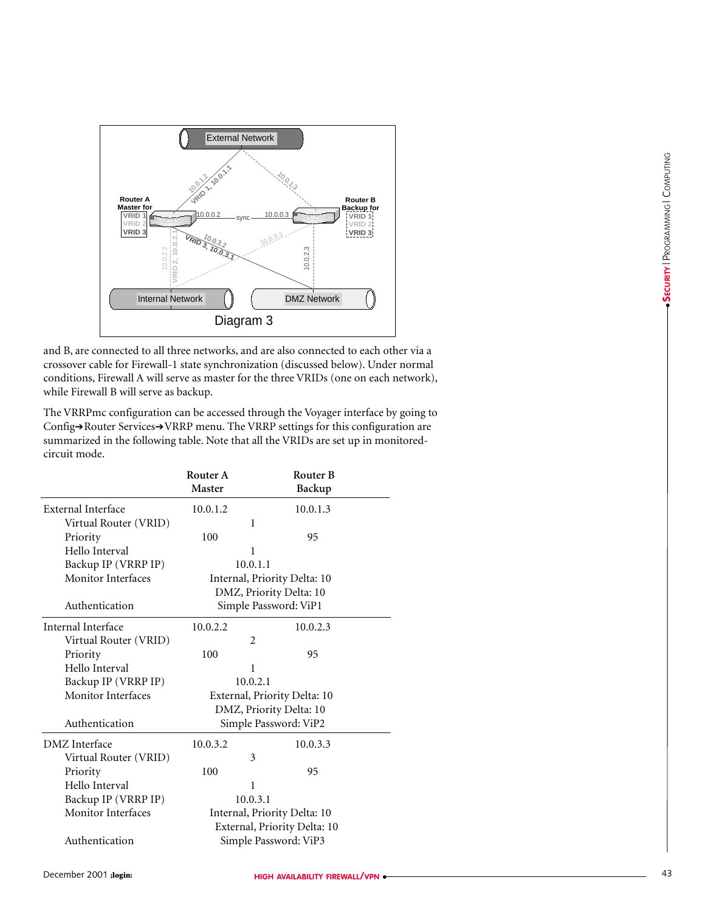

and B, are connected to all three networks, and are also connected to each other via a crossover cable for Firewall-1 state synchronization (discussed below). Under normal conditions, Firewall A will serve as master for the three VRIDs (one on each network), while Firewall B will serve as backup.

The VRRPmc configuration can be accessed through the Voyager interface by going to Config→Router Services→VRRP menu. The VRRP settings for this configuration are summarized in the following table. Note that all the VRIDs are set up in monitoredcircuit mode.

|                           | Router A<br><b>Master</b>    | <b>Router B</b><br>Backup    |  |  |
|---------------------------|------------------------------|------------------------------|--|--|
| External Interface        | 10.0.1.2                     | 10.0.1.3                     |  |  |
| Virtual Router (VRID)     | 1                            |                              |  |  |
| Priority                  | 100                          | 95                           |  |  |
| Hello Interval            | 1                            |                              |  |  |
| Backup IP (VRRP IP)       | 10.0.1.1                     |                              |  |  |
| <b>Monitor Interfaces</b> | Internal, Priority Delta: 10 |                              |  |  |
|                           | DMZ, Priority Delta: 10      |                              |  |  |
| Authentication            | Simple Password: ViP1        |                              |  |  |
| Internal Interface        | 10.0.2.2                     | 10.0.2.3                     |  |  |
| Virtual Router (VRID)     | $\overline{2}$               |                              |  |  |
| Priority                  | 100                          | 95                           |  |  |
| Hello Interval            | 1                            |                              |  |  |
| Backup IP (VRRP IP)       | 10.0.2.1                     |                              |  |  |
| <b>Monitor Interfaces</b> | External, Priority Delta: 10 |                              |  |  |
|                           | DMZ, Priority Delta: 10      |                              |  |  |
| Authentication            | Simple Password: ViP2        |                              |  |  |
| DMZ Interface             | 10.0.3.2                     | 10.0.3.3                     |  |  |
| Virtual Router (VRID)     | 3                            |                              |  |  |
| Priority                  | 100                          | 95                           |  |  |
| Hello Interval            | 1                            |                              |  |  |
| Backup IP (VRRP IP)       | 10.0.3.1                     |                              |  |  |
| Monitor Interfaces        | Internal, Priority Delta: 10 |                              |  |  |
|                           |                              | External, Priority Delta: 10 |  |  |
| Authentication            | Simple Password: ViP3        |                              |  |  |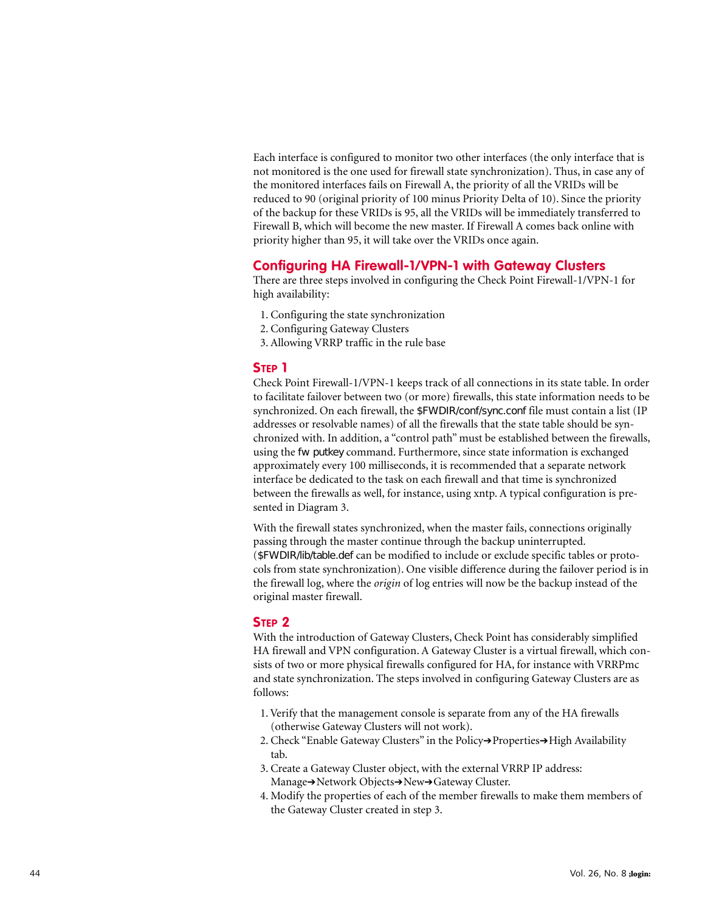Each interface is configured to monitor two other interfaces (the only interface that is not monitored is the one used for firewall state synchronization). Thus, in case any of the monitored interfaces fails on Firewall A, the priority of all the VRIDs will be reduced to 90 (original priority of 100 minus Priority Delta of 10). Since the priority of the backup for these VRIDs is 95, all the VRIDs will be immediately transferred to Firewall B, which will become the new master. If Firewall A comes back online with priority higher than 95, it will take over the VRIDs once again.

#### **Configuring HA Firewall-1/VPN-1 with Gateway Clusters**

There are three steps involved in configuring the Check Point Firewall-1/VPN-1 for high availability:

- 1. Configuring the state synchronization
- 2. Configuring Gateway Clusters
- 3. Allowing VRRP traffic in the rule base

### **STEP 1**

Check Point Firewall-1/VPN-1 keeps track of all connections in its state table. In order to facilitate failover between two (or more) firewalls, this state information needs to be synchronized. On each firewall, the \$FWDIR/conf/sync.conf file must contain a list (IP addresses or resolvable names) of all the firewalls that the state table should be synchronized with. In addition, a "control path" must be established between the firewalls, using the fw putkey command. Furthermore, since state information is exchanged approximately every 100 milliseconds, it is recommended that a separate network interface be dedicated to the task on each firewall and that time is synchronized between the firewalls as well, for instance, using xntp. A typical configuration is presented in Diagram 3.

With the firewall states synchronized, when the master fails, connections originally passing through the master continue through the backup uninterrupted. (\$FWDIR/lib/table.def can be modified to include or exclude specific tables or protocols from state synchronization). One visible difference during the failover period is in the firewall log, where the *origin* of log entries will now be the backup instead of the original master firewall.

#### **STEP 2**

With the introduction of Gateway Clusters, Check Point has considerably simplified HA firewall and VPN configuration. A Gateway Cluster is a virtual firewall, which consists of two or more physical firewalls configured for HA, for instance with VRRPmc and state synchronization. The steps involved in configuring Gateway Clusters are as follows:

- 1. Verify that the management console is separate from any of the HA firewalls (otherwise Gateway Clusters will not work).
- 2. Check "Enable Gateway Clusters" in the Policy→Properties→High Availability tab.
- 3. Create a Gateway Cluster object, with the external VRRP IP address: Manage ➔Network Objects ➔New ➔Gateway Cluster.
- 4. Modify the properties of each of the member firewalls to make them members of the Gateway Cluster created in step 3.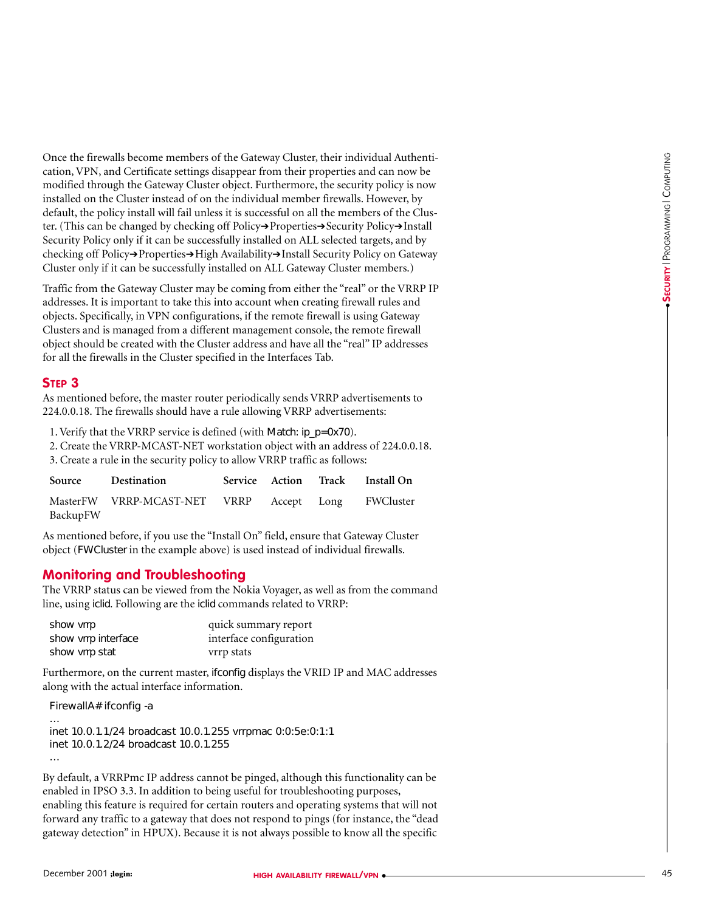Once the firewalls become members of the Gateway Cluster, their individual Authentication, VPN, and Certificate settings disappear from their properties and can now be modified through the Gateway Cluster object. Furthermore, the security policy is now installed on the Cluster instead of on the individual member firewalls. However, by default, the policy install will fail unless it is successful on all the members of the Cluster. (This can be changed by checking off Policy➔Properties➔Security Policy➔Install Security Policy only if it can be successfully installed on ALL selected targets, and by checking off Policy→Properties→High Availability→Install Security Policy on Gateway Cluster only if it can be successfully installed on ALL Gateway Cluster members.) Once the free specific three contents of the California Contents of the Indebter in the California Contents of the California Contents of the California Contents of the California Contents of the California Contents of the

Traffic from the Gateway Cluster may be coming from either the "real" or the VRRP IP addresses. It is important to take this into account when creating firewall rules and objects. Specifically, in VPN configurations, if the remote firewall is using Gateway Clusters and is managed from a different management console, the remote firewall object should be created with the Cluster address and have all the "real" IP addresses for all the firewalls in the Cluster specified in the Interfaces Tab.

#### **STEP 3**

As mentioned before, the master router periodically sends VRRP advertisements to 224.0.0.18. The firewalls should have a rule allowing VRRP advertisements:

1. Verify that the VRRP service is defined (with Match: ip\_p=0x70).

2. Create the VRRP-MCAST-NET workstation object with an address of 224.0.0.18.

3. Create a rule in the security policy to allow VRRP traffic as follows:

| Source   | Destination                                        |  | Service Action Track Install On |
|----------|----------------------------------------------------|--|---------------------------------|
| BackupFW | MasterFW VRRP-MCAST-NET VRRP Accept Long FWCluster |  |                                 |

As mentioned before, if you use the "Install On" field, ensure that Gateway Cluster object (FWCluster in the example above) is used instead of individual firewalls.

#### **Monitoring and Troubleshooting**

The VRRP status can be viewed from the Nokia Voyager, as well as from the command line, using iclid. Following are the iclid commands related to VRRP:

| show vrrp           | quick summary report    |
|---------------------|-------------------------|
| show vrrp interface | interface configuration |
| show vrrp stat      | vrrp stats              |

Furthermore, on the current master, ifconfig displays the VRID IP and MAC addresses along with the actual interface information.

FirewallA# ifconfig -a

…

```
inet 10.0.1.1/24 broadcast 10.0.1.255 vrrpmac 0:0:5e:0:1:1
inet 10.0.1.2/24 broadcast 10.0.1.255
```
By default, a VRRPmc IP address cannot be pinged, although this functionality can be enabled in IPSO 3.3. In addition to being useful for troubleshooting purposes, enabling this feature is required for certain routers and operating systems that will not forward any traffic to a gateway that does not respond to pings (for instance, the "dead gateway detection" in HPUX). Because it is not always possible to know all the specific